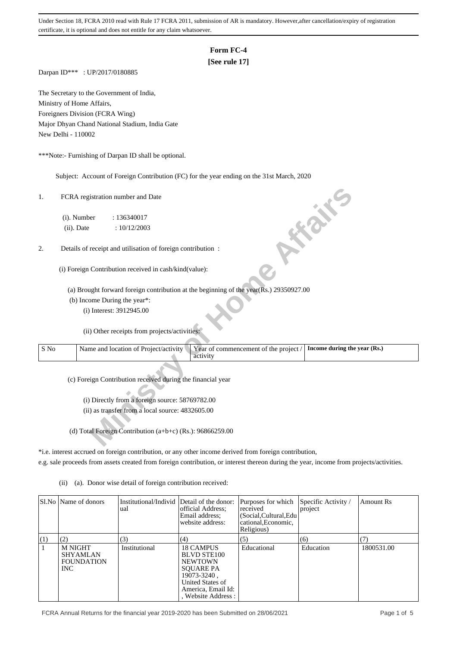## **Form FC-4**

# **[See rule 17]**

Darpan ID\*\*\* : UP/2017/0180885

The Secretary to the Government of India, Ministry of Home Affairs, Foreigners Division (FCRA Wing) Major Dhyan Chand National Stadium, India Gate New Delhi - 110002

\*\*\*Note:- Furnishing of Darpan ID shall be optional.

Subject: Account of Foreign Contribution (FC) for the year ending on the 31st March, 2020

| 1.   | FCRA registration number and Date<br><b>10 % %</b>                                                                         |
|------|----------------------------------------------------------------------------------------------------------------------------|
|      | (i). Number<br>: 136340017                                                                                                 |
|      | (ii). Date<br>: 10/12/2003                                                                                                 |
|      |                                                                                                                            |
| 2.   | Details of receipt and utilisation of foreign contribution :                                                               |
|      |                                                                                                                            |
|      | (i) Foreign Contribution received in cash/kind(value):                                                                     |
|      | (a) Brought forward foreign contribution at the beginning of the year(Rs.) 29350927.00                                     |
|      | (b) Income During the year*:                                                                                               |
|      |                                                                                                                            |
|      | (i) Interest: 3912945.00                                                                                                   |
|      | (ii) Other receipts from projects/activities:                                                                              |
| S No | Name and location of Project/activity<br>Year of commencement of the project /<br>Income during the year (Rs.)<br>activity |
|      | (c) Foreign Contribution received during the financial year                                                                |
|      |                                                                                                                            |
|      | (i) Directly from a foreign source: 58769782.00                                                                            |
|      | (ii) as transfer from a local source: 4832605.00                                                                           |
|      |                                                                                                                            |
|      | (d) Total Foreign Contribution $(a+b+c)$ (Rs.): 96866259.00                                                                |

\*i.e. interest accrued on foreign contribution, or any other income derived from foreign contribution, e.g. sale proceeds from assets created from foreign contribution, or interest thereon during the year, income from projects/activities.

(ii) (a). Donor wise detail of foreign contribution received:

|     | SLNo Name of donors                                            | Institutional/Individ Detail of the donor:<br>ual | official Address:<br>Email address;<br>website address:                                                                                              | Purposes for which<br>received<br>(Social, Cultural, Edu<br>cational, Economic,<br>Religious) | Specific Activity /<br>project | <b>Amount Rs</b> |
|-----|----------------------------------------------------------------|---------------------------------------------------|------------------------------------------------------------------------------------------------------------------------------------------------------|-----------------------------------------------------------------------------------------------|--------------------------------|------------------|
| (1) | (2)                                                            | (3)                                               | (4)                                                                                                                                                  | (5)                                                                                           | (6)                            | (7)              |
|     | <b>M NIGHT</b><br><b>SHYAMLAN</b><br><b>FOUNDATION</b><br>INC. | Institutional                                     | <b>18 CAMPUS</b><br>BLVD STE100<br><b>NEWTOWN</b><br><b>SOUARE PA</b><br>19073-3240,<br>United States of<br>America, Email Id:<br>, Website Address: | Educational                                                                                   | Education                      | 1800531.00       |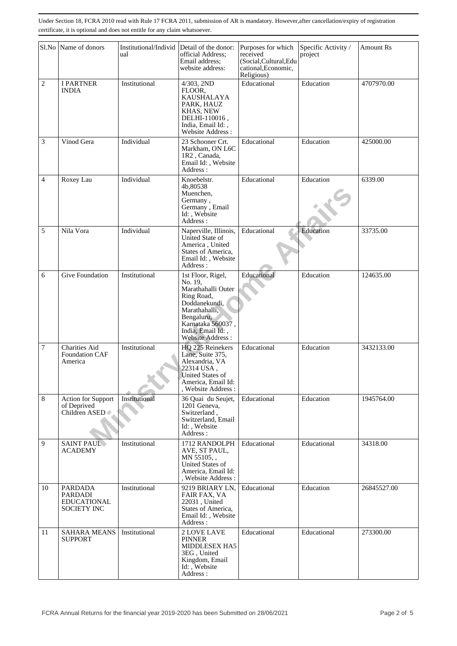|                | Sl.No Name of donors                                                         | ual           | Institutional/Individ Detail of the donor:<br>official Address;<br>Email address:<br>website address:                                                                          | Purposes for which<br>received<br>(Social, Cultural, Edu<br>cational, Economic,<br>Religious) | Specific Activity /<br>project | Amount Rs   |
|----------------|------------------------------------------------------------------------------|---------------|--------------------------------------------------------------------------------------------------------------------------------------------------------------------------------|-----------------------------------------------------------------------------------------------|--------------------------------|-------------|
| $\overline{c}$ | <b>I PARTNER</b><br><b>INDIA</b>                                             | Institutional | 4/303, 2ND<br>FLOOR,<br>KAUSHALAYA<br>PARK, HAUZ<br>KHAS, NEW<br>DELHI-110016,<br>India, Email Id:,<br>Website Address:                                                        | Educational                                                                                   | Education                      | 4707970.00  |
| 3              | Vinod Gera                                                                   | Individual    | 23 Schooner Crt.<br>Markham, ON L6C<br>1R2, Canada,<br>Email Id:, Website<br>Address:                                                                                          | Educational                                                                                   | Education                      | 425000.00   |
| 4              | Roxey Lau                                                                    | Individual    | Knoebelstr.<br>4b,80538<br>Muenchen,<br>Germany,<br>Germany, Email<br>Id:, Website<br>Address:                                                                                 | Educational                                                                                   | Education                      | 6339.00     |
| 5              | Nila Vora                                                                    | Individual    | Naperville, Illinois,<br>United State of<br>America, United<br>States of America,<br>Email Id:, Website<br>Address:                                                            | Educational                                                                                   | Education                      | 33735.00    |
| 6              | Give Foundation                                                              | Institutional | 1st Floor, Rigel,<br>No. 19.<br>Marathahalli Outer<br>Ring Road,<br>Doddanekundi,<br>Marathahalli,<br>Bengaluru,<br>Karnataka 560037,<br>India, Email Id:,<br>Website Address: | Educational                                                                                   | Education                      | 124635.00   |
| 7              | <b>Charities Aid</b><br>Foundation CAF<br>America                            | Institutional | HQ 225 Reinekers<br>Lane, Suite 375,<br>Alexandria, VA<br>22314 USA,<br>United States of<br>America, Email Id:<br>, Website Address:                                           | Educational                                                                                   | Education                      | 3432133.00  |
| 8              | Action for Support<br>of Deprived<br>Children ASED                           | Institutional | 36 Quai du Seujet,<br>1201 Geneva,<br>Switzerland.<br>Switzerland, Email<br>Id: Website<br>Address:                                                                            | Educational                                                                                   | Education                      | 1945764.00  |
| 9              | <b>SAINT PAUL</b><br><b>ACADEMY</b>                                          | Institutional | 1712 RANDOLPH<br>AVE, ST PAUL,<br>MN 55105,<br><b>United States of</b><br>America, Email Id:<br>, Website Address :                                                            | Educational                                                                                   | Educational                    | 34318.00    |
| 10             | <b>PARDADA</b><br><b>PARDADI</b><br><b>EDUCATIONAL</b><br><b>SOCIETY INC</b> | Institutional | 9219 BRIARY LN,<br>FAIR FAX, VA<br>22031, United<br>States of America,<br>Email Id:, Website<br>Address:                                                                       | Educational                                                                                   | Education                      | 26845527.00 |
| 11             | <b>SAHARA MEANS</b><br><b>SUPPORT</b>                                        | Institutional | 2 LOVE LAVE<br><b>PINNER</b><br><b>MIDDLESEX HA5</b><br>3EG, United<br>Kingdom, Email<br>Id: , Website<br>Address:                                                             | Educational                                                                                   | Educational                    | 273300.00   |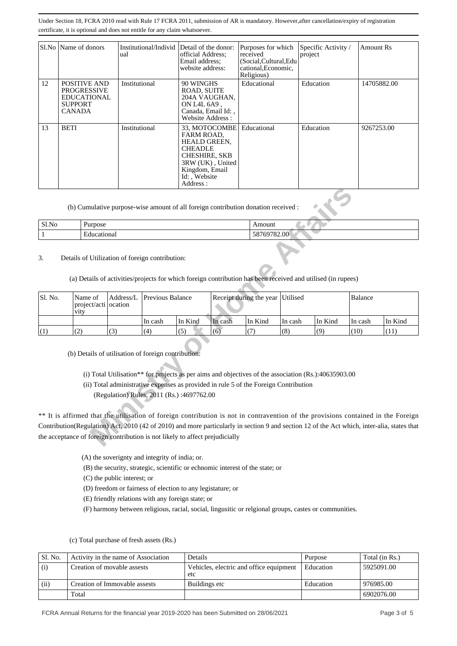|    | Sl.No   Name of donors                                                                      | Institutional/Individ Detail of the donor:<br>ual | official Address:<br>Email address:<br>website address:                                                                                                               | Purposes for which<br>received<br>(Social, Cultural, Edu<br>cational, Economic,<br>Religious) | Specific Activity /<br>project | Amount Rs   |
|----|---------------------------------------------------------------------------------------------|---------------------------------------------------|-----------------------------------------------------------------------------------------------------------------------------------------------------------------------|-----------------------------------------------------------------------------------------------|--------------------------------|-------------|
| 12 | POSITIVE AND<br><b>PROGRESSIVE</b><br><b>EDUCATIONAL</b><br><b>SUPPORT</b><br><b>CANADA</b> | Institutional                                     | 90 WINGHS<br><b>ROAD, SUITE</b><br>204A VAUGHAN,<br>ON L4L 6A9,<br>Canada, Email Id:,<br>Website Address:                                                             | Educational                                                                                   | Education                      | 14705882.00 |
| 13 | <b>BETI</b>                                                                                 | Institutional                                     | 33, MOTOCOMBE<br><b>FARM ROAD.</b><br><b>HEALD GREEN,</b><br><b>CHEADLE</b><br><b>CHESHIRE, SKB</b><br>3RW (UK), United<br>Kingdom, Email<br>Id: Website<br>Address : | Educational                                                                                   | Education                      | 9267253.00  |

| Sl.No | Purpose     | Amount                  |
|-------|-------------|-------------------------|
|       | Educational | 69782.00<br>$\sim$<br>◠ |

|              | (b) Cumulative purpose-wise amount of all foreign contribution donation received :                                                                                                                                                                                                                                                                               |           |                         |                                           |                         |                                                                                                                                                                                              |          |         |                |         |
|--------------|------------------------------------------------------------------------------------------------------------------------------------------------------------------------------------------------------------------------------------------------------------------------------------------------------------------------------------------------------------------|-----------|-------------------------|-------------------------------------------|-------------------------|----------------------------------------------------------------------------------------------------------------------------------------------------------------------------------------------|----------|---------|----------------|---------|
| S1.No        | Purpose                                                                                                                                                                                                                                                                                                                                                          |           |                         |                                           | Amount                  |                                                                                                                                                                                              |          |         |                |         |
| $\mathbf{1}$ | Educational                                                                                                                                                                                                                                                                                                                                                      |           |                         |                                           | 58769782.00             |                                                                                                                                                                                              |          |         |                |         |
| 3.           | Details of Utilization of foreign contribution:                                                                                                                                                                                                                                                                                                                  |           |                         |                                           |                         | (a) Details of activities/projects for which foreign contribution has been received and utilised (in rupees)                                                                                 |          |         |                |         |
| Sl. No.      | Name of<br>project/acti   ocation<br>vity                                                                                                                                                                                                                                                                                                                        | Address/L | <b>Previous Balance</b> |                                           | Receipt during the year |                                                                                                                                                                                              | Utilised |         | <b>Balance</b> |         |
|              |                                                                                                                                                                                                                                                                                                                                                                  |           | In cash                 | In Kind                                   | In cash                 | In Kind                                                                                                                                                                                      | In cash  | In Kind | In cash        | In Kind |
| (1)          | (2)                                                                                                                                                                                                                                                                                                                                                              | (3)       | (4)                     | (5)                                       | (6)                     | (7)                                                                                                                                                                                          | (8)      | (9)     | (10)           | (11)    |
|              | (b) Details of utilisation of foreign contribution:                                                                                                                                                                                                                                                                                                              |           |                         | (Regulation) Rules, 2011 (Rs.):4697762.00 |                         | (i) Total Utilisation** for projects as per aims and objectives of the association (Rs.):40635903.00<br>(ii) Total administrative expenses as provided in rule 5 of the Foreign Contribution |          |         |                |         |
|              | ** It is affirmed that the utilisation of foreign contribution is not in contravention of the provisions contained in the Foreign<br>Contribution(Regulation) Act, 2010 (42 of 2010) and more particularly in section 9 and section 12 of the Act which, inter-alia, states that<br>the acceptance of foreign contribution is not likely to affect prejudicially |           |                         |                                           |                         |                                                                                                                                                                                              |          |         |                |         |

(A) the soverignty and integrity of india; or.

(B) the security, strategic, scientific or echnomic interest of the state; or

- (C) the public interest; or
- (D) freedom or fairness of election to any legistature; or
- (E) friendly relations with any foreign state; or

(F) harmony between religious, racial, social, lingusitic or relgional groups, castes or communities.

| Sl. No. | Activity in the name of Association | Details                                        | Purpose   | Total (in Rs.) |
|---------|-------------------------------------|------------------------------------------------|-----------|----------------|
| (i)     | Creation of movable assests         | Vehicles, electric and office equipment<br>etc | Education | 5925091.00     |
| (ii)    | Creation of Immovable assests       | Buildings etc                                  | Education | 976985.00      |
|         | Total                               |                                                |           | 6902076.00     |

(c) Total purchase of fresh assets (Rs.)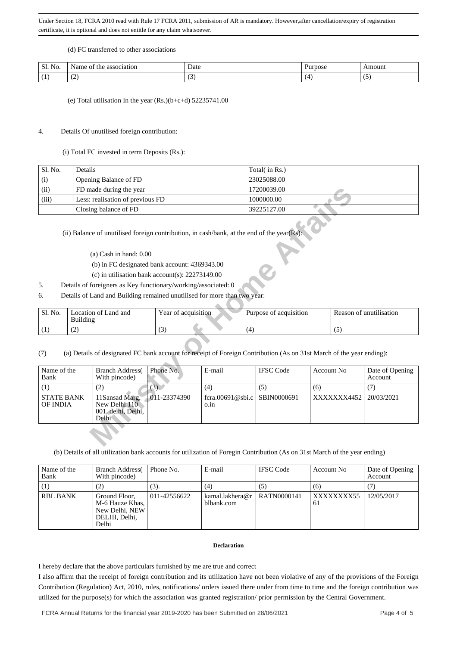#### (d) FC transferred to other associations

| $\mathbf{C}$<br>$\overline{\phantom{a}}$<br>SI.<br>TVO. | $\sim$ $\sim$<br>vame<br>association<br>ΟĪ<br>the<br>. | Date<br>. | urpose <sup>1</sup> | ⊾mount |
|---------------------------------------------------------|--------------------------------------------------------|-----------|---------------------|--------|
|                                                         | $\sim$<br>ື                                            | -         |                     | . .    |

(e) Total utilisation In the year (Rs.)(b+c+d) 52235741.00

### 4. Details Of unutilised foreign contribution:

## (i) Total FC invested in term Deposits (Rs.):

| Sl. No. | Details                          | Total( in Rs.) |
|---------|----------------------------------|----------------|
| (i)     | Opening Balance of FD            | 23025088.00    |
| (ii)    | FD made during the year          | 17200039.00    |
| (iii)   | Less: realisation of previous FD | 1000000.00     |
|         | Closing balance of FD            | 39225127.00    |

- (a) Cash in hand: 0.00
- (b) in FC designated bank account: 4369343.00
- (c) in utilisation bank account(s): 22273149.00
- 5. Details of foreigners as Key functionary/working/associated: 0
- 6. Details of Land and Building remained unutilised for more than two year:

| Sl. No. | Location of Land and<br>Building | Year of acquisition | Purpose of acquisition | Reason of unutilisation |
|---------|----------------------------------|---------------------|------------------------|-------------------------|
|         | $\sqrt{2}$<br>ست                 | $\sqrt{2}$<br>v     |                        |                         |

| (ii)                                                                                                         |          | FD made during the year                                                                                                                       |                          |                        |             | 17200039.00      |                         |            |                 |
|--------------------------------------------------------------------------------------------------------------|----------|-----------------------------------------------------------------------------------------------------------------------------------------------|--------------------------|------------------------|-------------|------------------|-------------------------|------------|-----------------|
| (iii)                                                                                                        |          | Less: realisation of previous FD                                                                                                              |                          |                        |             | 1000000.00       |                         |            |                 |
|                                                                                                              |          | Closing balance of FD                                                                                                                         |                          |                        |             | 39225127.00      |                         |            |                 |
|                                                                                                              |          | (ii) Balance of unutilised foreign contribution, in cash/bank, at the end of the year(Rs):<br>$(a)$ Cash in hand: $0.00$                      |                          |                        |             |                  |                         |            |                 |
|                                                                                                              |          | (b) in FC designated bank account: 4369343.00                                                                                                 |                          |                        |             |                  |                         |            |                 |
|                                                                                                              |          | (c) in utilisation bank account(s): $22273149.00$                                                                                             |                          |                        |             |                  |                         |            |                 |
| .5.                                                                                                          |          | Details of foreigners as Key functionary/working/associated: 0                                                                                |                          |                        |             |                  |                         |            |                 |
|                                                                                                              |          |                                                                                                                                               |                          |                        |             |                  |                         |            |                 |
| 6.                                                                                                           |          | Details of Land and Building remained unutilised for more than two year:                                                                      |                          |                        |             |                  |                         |            |                 |
| Sl. No.                                                                                                      | Building | Location of Land and                                                                                                                          | Year of acquisition      | Purpose of acquisition |             |                  | Reason of unutilisation |            |                 |
| (1)                                                                                                          | (2)      |                                                                                                                                               | (3)                      |                        | (4)         |                  |                         | (5)        |                 |
| (7)<br>Name of the                                                                                           |          | (a) Details of designated FC bank account for receipt of Foreign Contribution (As on 31st March of the year ending):<br><b>Branch Address</b> | Phone No.                | E-mail                 |             | <b>IFSC</b> Code | <b>Account No</b>       |            | Date of Opening |
| Bank                                                                                                         |          | With pincode)                                                                                                                                 |                          |                        |             |                  |                         |            | Account         |
| (1)                                                                                                          |          | (2)                                                                                                                                           | $(3)$ .                  | (4)                    | (5)         |                  | (6)                     |            | (7)             |
| <b>STATE BANK</b><br>11Sansad Marg,<br>New Delhi 110<br>OF INDIA<br>001, delhi, Delhi,<br>Delhi <sup>-</sup> |          | 011-23374390                                                                                                                                  | fcra.00691@sbi.c<br>o.in |                        | SBIN0000691 |                  | XXXXXX4452              | 20/03/2021 |                 |
|                                                                                                              |          |                                                                                                                                               |                          |                        |             |                  |                         |            |                 |

(b) Details of all utilization bank accounts for utilization of Foregin Contribution (As on 31st March of the year ending)

| Name of the<br>Bank | <b>Branch Address</b><br>With pincode)                                         | Phone No.    | E-mail                                      | <b>IFSC Code</b> | Account No.      | Date of Opening<br>Account |
|---------------------|--------------------------------------------------------------------------------|--------------|---------------------------------------------|------------------|------------------|----------------------------|
|                     | (2)                                                                            | (3).         | (4)                                         | (5)              | (6)              |                            |
| <b>RBL BANK</b>     | Ground Floor,<br>M-6 Hauze Khas, I<br>New Delhi, NEW<br>DELHI, Delhi,<br>Delhi | 011-42556622 | kamal.lakhera@r   RATN0000141<br>blbank.com |                  | XXXXXXXX55<br>61 | 12/05/2017                 |

#### **Declaration**

I hereby declare that the above particulars furnished by me are true and correct

I also affirm that the receipt of foreign contribution and its utilization have not been violative of any of the provisions of the Foreign Contribution (Regulation) Act, 2010, rules, notifications/ orders issued there under from time to time and the foreign contribution was utilized for the purpose(s) for which the association was granted registration/ prior permission by the Central Government.